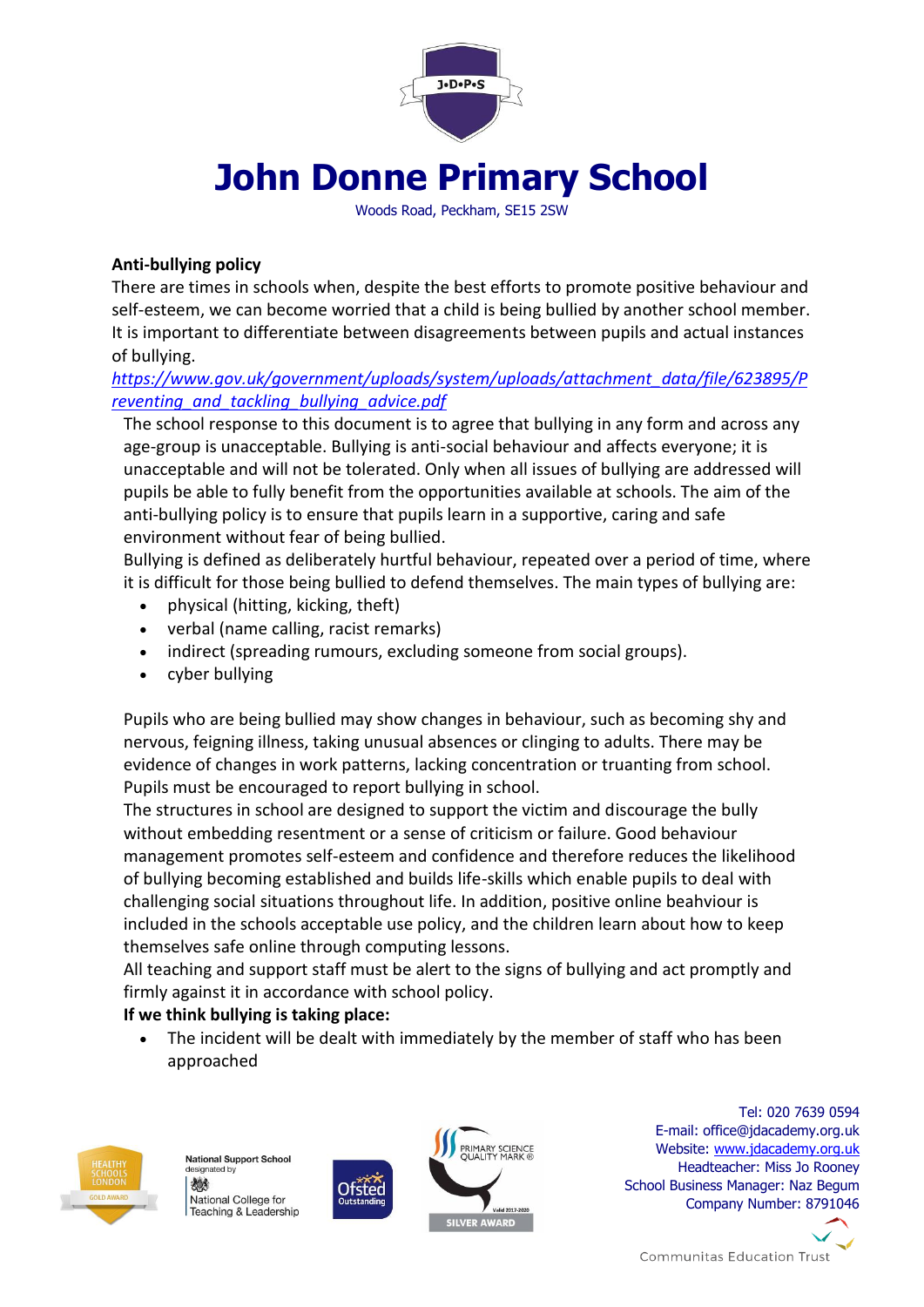

# **John Donne Primary School**

Woods Road, Peckham, SE15 2SW

## **Anti-bullying policy**

There are times in schools when, despite the best efforts to promote positive behaviour and self-esteem, we can become worried that a child is being bullied by another school member. It is important to differentiate between disagreements between pupils and actual instances of bullying.

*[https://www.gov.uk/government/uploads/system/uploads/attachment\\_data/file/623895/P](https://www.gov.uk/government/uploads/system/uploads/attachment_data/file/623895/Preventing_and_tackling_bullying_advice.pdf) [reventing\\_and\\_tackling\\_bullying\\_advice.pdf](https://www.gov.uk/government/uploads/system/uploads/attachment_data/file/623895/Preventing_and_tackling_bullying_advice.pdf)*

The school response to this document is to agree that bullying in any form and across any age-group is unacceptable. Bullying is anti-social behaviour and affects everyone; it is unacceptable and will not be tolerated. Only when all issues of bullying are addressed will pupils be able to fully benefit from the opportunities available at schools. The aim of the anti-bullying policy is to ensure that pupils learn in a supportive, caring and safe environment without fear of being bullied.

Bullying is defined as deliberately hurtful behaviour, repeated over a period of time, where it is difficult for those being bullied to defend themselves. The main types of bullying are:

- physical (hitting, kicking, theft)
- verbal (name calling, racist remarks)
- indirect (spreading rumours, excluding someone from social groups).
- cyber bullying

Pupils who are being bullied may show changes in behaviour, such as becoming shy and nervous, feigning illness, taking unusual absences or clinging to adults. There may be evidence of changes in work patterns, lacking concentration or truanting from school. Pupils must be encouraged to report bullying in school.

The structures in school are designed to support the victim and discourage the bully without embedding resentment or a sense of criticism or failure. Good behaviour management promotes self-esteem and confidence and therefore reduces the likelihood of bullying becoming established and builds life-skills which enable pupils to deal with challenging social situations throughout life. In addition, positive online beahviour is included in the schools acceptable use policy, and the children learn about how to keep themselves safe online through computing lessons.

All teaching and support staff must be alert to the signs of bullying and act promptly and firmly against it in accordance with school policy.

## **If we think bullying is taking place:**

 The incident will be dealt with immediately by the member of staff who has been approached



**National Support School** designated by 微 National College for Teaching & Leadership



Ofsted

Tel: 020 7639 0594 E-mail: office@jdacademy.org.uk Website: [www.jdacademy.org.uk](http://www.jdacademy.org.uk/) Headteacher: Miss Jo Rooney School Business Manager: Naz Begum Company Number: 8791046